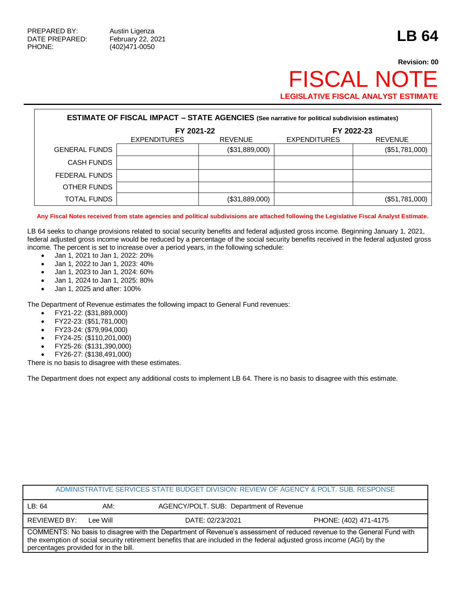Г

## **Revision: 00 FISCAL NOT LEGISLATIVE FISCAL ANALYST ESTIMATE**

| <b>ESTIMATE OF FISCAL IMPACT - STATE AGENCIES (See narrative for political subdivision estimates)</b> |                     |                |                     |                |  |  |
|-------------------------------------------------------------------------------------------------------|---------------------|----------------|---------------------|----------------|--|--|
|                                                                                                       | FY 2021-22          |                | FY 2022-23          |                |  |  |
|                                                                                                       | <b>EXPENDITURES</b> | <b>REVENUE</b> | <b>EXPENDITURES</b> | <b>REVENUE</b> |  |  |
| <b>GENERAL FUNDS</b>                                                                                  |                     | (\$31,889,000) |                     | (\$51,781,000) |  |  |
| <b>CASH FUNDS</b>                                                                                     |                     |                |                     |                |  |  |
| FEDERAL FUNDS                                                                                         |                     |                |                     |                |  |  |
| OTHER FUNDS                                                                                           |                     |                |                     |                |  |  |
| <b>TOTAL FUNDS</b>                                                                                    |                     | (\$31,889,000) |                     | (\$51,781,000) |  |  |

**Any Fiscal Notes received from state agencies and political subdivisions are attached following the Legislative Fiscal Analyst Estimate.**

LB 64 seeks to change provisions related to social security benefits and federal adjusted gross income. Beginning January 1, 2021, federal adjusted gross income would be reduced by a percentage of the social security benefits received in the federal adjusted gross income. The percent is set to increase over a period years, in the following schedule:

- Jan 1, 2021 to Jan 1, 2022: 20%
- Jan 1, 2022 to Jan 1, 2023: 40%
- Jan 1, 2023 to Jan 1, 2024: 60%
- Jan 1, 2024 to Jan 1, 2025: 80%
- Jan 1, 2025 and after: 100%

The Department of Revenue estimates the following impact to General Fund revenues:

- FY21-22: (\$31,889,000)
- FY22-23: (\$51,781,000)
- FY23-24: (\$79,994,000)
- FY24-25: (\$110,201,000)
- FY25-26: (\$131,390,000)
- FY26-27: (\$138,491,000)

There is no basis to disagree with these estimates.

The Department does not expect any additional costs to implement LB 64. There is no basis to disagree with this estimate.

| ADMINISTRATIVE SERVICES STATE BUDGET DIVISION: REVIEW OF AGENCY & POLT. SUB. RESPONSE                                                                                                                                                                                                       |                                                |                  |                       |  |  |
|---------------------------------------------------------------------------------------------------------------------------------------------------------------------------------------------------------------------------------------------------------------------------------------------|------------------------------------------------|------------------|-----------------------|--|--|
| LB: 64                                                                                                                                                                                                                                                                                      | AGENCY/POLT. SUB: Department of Revenue<br>AM: |                  |                       |  |  |
| REVIEWED BY:                                                                                                                                                                                                                                                                                | Lee Will                                       | DATE: 02/23/2021 | PHONE: (402) 471-4175 |  |  |
| COMMENTS: No basis to disagree with the Department of Revenue's assessment of reduced revenue to the General Fund with<br>the exemption of social security retirement benefits that are included in the federal adjusted gross income (AGI) by the<br>percentages provided for in the bill. |                                                |                  |                       |  |  |